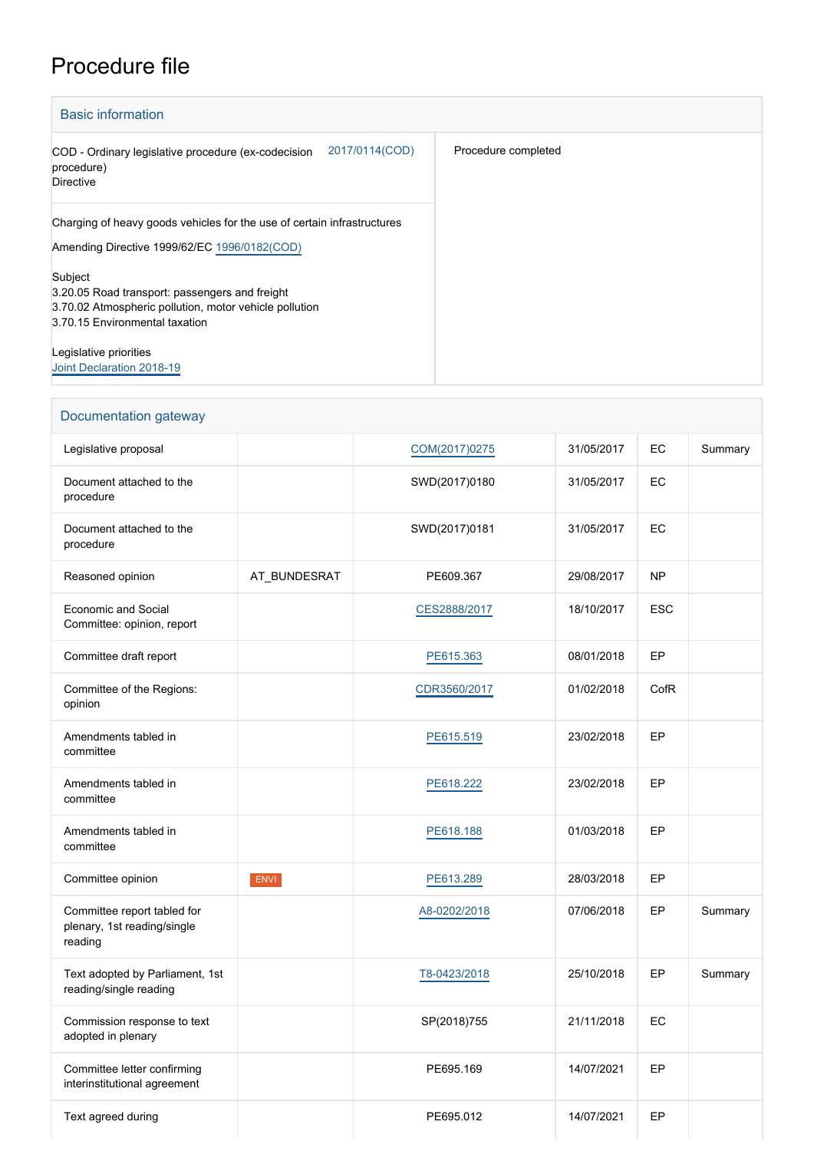## Procedure file

| <b>Basic information</b>                                                                                                                              |                     |  |  |  |
|-------------------------------------------------------------------------------------------------------------------------------------------------------|---------------------|--|--|--|
| 2017/0114(COD)<br>COD - Ordinary legislative procedure (ex-codecision<br>procedure)<br><b>Directive</b>                                               | Procedure completed |  |  |  |
| Charging of heavy goods vehicles for the use of certain infrastructures<br>Amending Directive 1999/62/EC 1996/0182(COD)                               |                     |  |  |  |
| Subject<br>3.20.05 Road transport: passengers and freight<br>3.70.02 Atmospheric pollution, motor vehicle pollution<br>3.70.15 Environmental taxation |                     |  |  |  |
| Legislative priorities<br>Joint Declaration 2018-19                                                                                                   |                     |  |  |  |

| Documentation gateway                                                 |              |               |            |            |         |  |
|-----------------------------------------------------------------------|--------------|---------------|------------|------------|---------|--|
| Legislative proposal                                                  |              | COM(2017)0275 | 31/05/2017 | EC         | Summary |  |
| Document attached to the<br>procedure                                 |              | SWD(2017)0180 | 31/05/2017 | EC         |         |  |
| Document attached to the<br>procedure                                 |              | SWD(2017)0181 | 31/05/2017 | EC         |         |  |
| Reasoned opinion                                                      | AT_BUNDESRAT | PE609.367     | 29/08/2017 | <b>NP</b>  |         |  |
| <b>Economic and Social</b><br>Committee: opinion, report              |              | CES2888/2017  | 18/10/2017 | <b>ESC</b> |         |  |
| Committee draft report                                                |              | PE615.363     | 08/01/2018 | EP         |         |  |
| Committee of the Regions:<br>opinion                                  |              | CDR3560/2017  | 01/02/2018 | CofR       |         |  |
| Amendments tabled in<br>committee                                     |              | PE615.519     | 23/02/2018 | EP         |         |  |
| Amendments tabled in<br>committee                                     |              | PE618.222     | 23/02/2018 | EP         |         |  |
| Amendments tabled in<br>committee                                     |              | PE618.188     | 01/03/2018 | EP         |         |  |
| Committee opinion                                                     | <b>ENVI</b>  | PE613.289     | 28/03/2018 | EP         |         |  |
| Committee report tabled for<br>plenary, 1st reading/single<br>reading |              | A8-0202/2018  | 07/06/2018 | EP         | Summary |  |
| Text adopted by Parliament, 1st<br>reading/single reading             |              | T8-0423/2018  | 25/10/2018 | EP         | Summary |  |
| Commission response to text<br>adopted in plenary                     |              | SP(2018)755   | 21/11/2018 | EC         |         |  |
| Committee letter confirming<br>interinstitutional agreement           |              | PE695.169     | 14/07/2021 | EP         |         |  |
| Text agreed during                                                    |              | PE695.012     | 14/07/2021 | EP         |         |  |